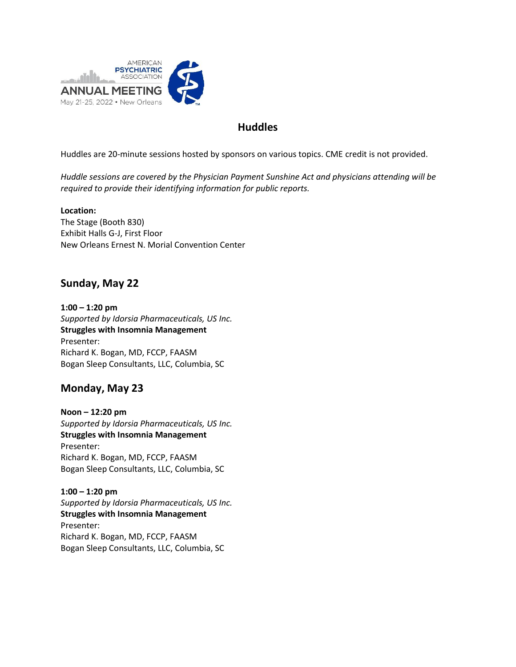

## **Huddles**

Huddles are 20-minute sessions hosted by sponsors on various topics. CME credit is not provided.

*Huddle sessions are covered by the Physician Payment Sunshine Act and physicians attending will be required to provide their identifying information for public reports.*

**Location:** The Stage (Booth 830) Exhibit Halls G-J, First Floor New Orleans Ernest N. Morial Convention Center

## **Sunday, May 22**

**1:00 – 1:20 pm** *Supported by Idorsia Pharmaceuticals, US Inc.* **Struggles with Insomnia Management** Presenter: Richard K. Bogan, MD, FCCP, FAASM Bogan Sleep Consultants, LLC, Columbia, SC

## **Monday, May 23**

**Noon – 12:20 pm** *Supported by Idorsia Pharmaceuticals, US Inc.* **Struggles with Insomnia Management**  Presenter: Richard K. Bogan, MD, FCCP, FAASM Bogan Sleep Consultants, LLC, Columbia, SC

**1:00 – 1:20 pm** *Supported by Idorsia Pharmaceuticals, US Inc.* **Struggles with Insomnia Management** Presenter: Richard K. Bogan, MD, FCCP, FAASM Bogan Sleep Consultants, LLC, Columbia, SC